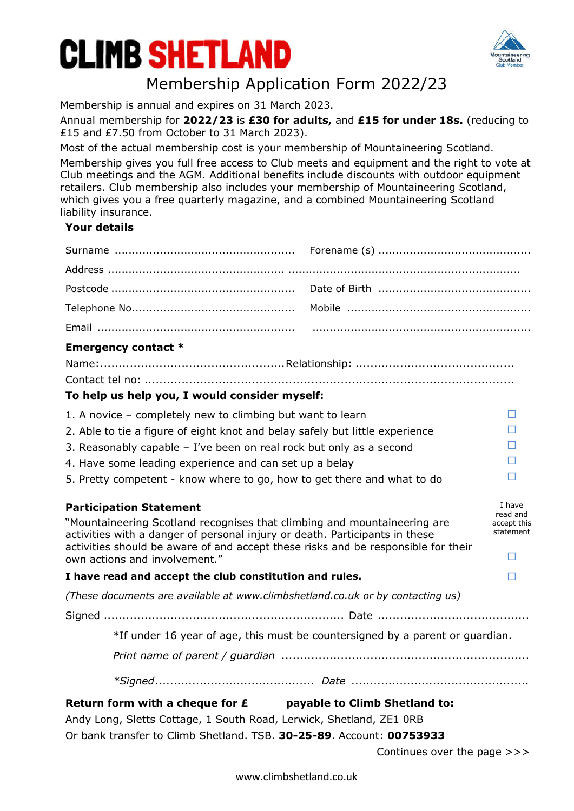# **CLIMB SHETLAND**



### Membership Application Form 2022/23

Membership is annual and expires on 31 March 2023.

Annual membership for **2022/23** is **£30 for adults,** and **£15 for under 18s.** (reducing to £15 and £7.50 from October to 31 March 2023).

Most of the actual membership cost is your membership of Mountaineering Scotland.

Membership gives you full free access to Club meets and equipment and the right to vote at Club meetings and the AGM. Additional benefits include discounts with outdoor equipment retailers. Club membership also includes your membership of Mountaineering Scotland, which gives you a free quarterly magazine, and a combined Mountaineering Scotland liability insurance.

### **Your details**

| <b>Emergency contact *</b>                                                                                                                              |  |                         |
|---------------------------------------------------------------------------------------------------------------------------------------------------------|--|-------------------------|
|                                                                                                                                                         |  |                         |
|                                                                                                                                                         |  |                         |
| To help us help you, I would consider myself:                                                                                                           |  |                         |
| 1. A novice - completely new to climbing but want to learn                                                                                              |  | □                       |
| 2. Able to tie a figure of eight knot and belay safely but little experience                                                                            |  | П                       |
| 3. Reasonably capable - I've been on real rock but only as a second<br>П                                                                                |  |                         |
| 4. Have some leading experience and can set up a belay                                                                                                  |  | □                       |
| □<br>5. Pretty competent - know where to go, how to get there and what to do                                                                            |  |                         |
|                                                                                                                                                         |  |                         |
|                                                                                                                                                         |  | I have                  |
| <b>Participation Statement</b>                                                                                                                          |  | read and<br>accept this |
| "Mountaineering Scotland recognises that climbing and mountaineering are<br>activities with a danger of personal injury or death. Participants in these |  | statement               |
| activities should be aware of and accept these risks and be responsible for their                                                                       |  | □                       |
| own actions and involvement."<br>I have read and accept the club constitution and rules.                                                                |  | H                       |
| (These documents are available at www.climbshetland.co.uk or by contacting us)                                                                          |  |                         |
|                                                                                                                                                         |  |                         |
| *If under 16 year of age, this must be countersigned by a parent or guardian.                                                                           |  |                         |
|                                                                                                                                                         |  |                         |
|                                                                                                                                                         |  |                         |
|                                                                                                                                                         |  |                         |
| Return form with a cheque for $E$ payable to Climb Shetland to:<br>Andy Long, Sletts Cottage, 1 South Road, Lerwick, Shetland, ZE1 ORB                  |  |                         |

Or bank transfer to Climb Shetland. TSB. **30-25-89**. Account: **00753933**

Continues over the page >>>